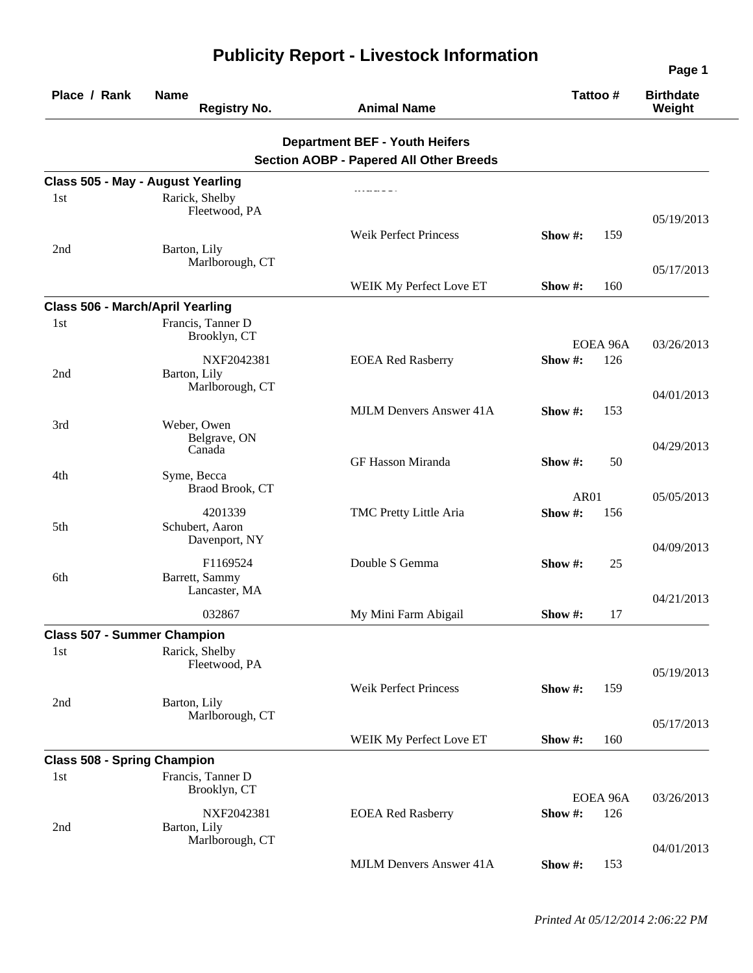| Place / Rank                            | <b>Name</b><br><b>Registry No.</b> | <b>Animal Name</b>                             | Tattoo#     |          | <b>Birthdate</b><br>Weight |
|-----------------------------------------|------------------------------------|------------------------------------------------|-------------|----------|----------------------------|
|                                         |                                    | <b>Department BEF - Youth Heifers</b>          |             |          |                            |
|                                         |                                    | <b>Section AOBP - Papered All Other Breeds</b> |             |          |                            |
|                                         | Class 505 - May - August Yearling  |                                                |             |          |                            |
| 1st                                     | Rarick, Shelby                     |                                                |             |          |                            |
|                                         | Fleetwood, PA                      |                                                |             |          | 05/19/2013                 |
|                                         |                                    | <b>Weik Perfect Princess</b>                   | Show #:     | 159      |                            |
| 2nd                                     | Barton, Lily                       |                                                |             |          |                            |
|                                         | Marlborough, CT                    |                                                |             |          | 05/17/2013                 |
|                                         |                                    | WEIK My Perfect Love ET                        | Show $#$ :  | 160      |                            |
| <b>Class 506 - March/April Yearling</b> |                                    |                                                |             |          |                            |
| 1st                                     | Francis, Tanner D                  |                                                |             |          |                            |
|                                         | Brooklyn, CT                       |                                                |             | EOEA 96A | 03/26/2013                 |
|                                         | NXF2042381                         | <b>EOEA Red Rasberry</b>                       | Show #:     | 126      |                            |
| 2nd                                     | Barton, Lily                       |                                                |             |          |                            |
|                                         | Marlborough, CT                    |                                                |             |          | 04/01/2013                 |
|                                         |                                    | <b>MJLM Denvers Answer 41A</b>                 | Show $\#$ : | 153      |                            |
| 3rd                                     | Weber, Owen<br>Belgrave, ON        |                                                |             |          |                            |
|                                         | Canada                             |                                                |             |          | 04/29/2013                 |
|                                         | Syme, Becca                        | GF Hasson Miranda                              | Show #:     | 50       |                            |
| 4th                                     | Braod Brook, CT                    |                                                |             |          |                            |
|                                         |                                    |                                                | <b>AR01</b> |          | 05/05/2013                 |
| 5th                                     | 4201339<br>Schubert, Aaron         | TMC Pretty Little Aria                         | Show#:      | 156      |                            |
|                                         | Davenport, NY                      |                                                |             |          | 04/09/2013                 |
|                                         | F1169524                           | Double S Gemma                                 | Show #:     | 25       |                            |
| 6th                                     | Barrett, Sammy                     |                                                |             |          |                            |
|                                         | Lancaster, MA                      |                                                |             |          | 04/21/2013                 |
|                                         | 032867                             | My Mini Farm Abigail                           | Show $#$ :  | 17       |                            |
| <b>Class 507 - Summer Champion</b>      |                                    |                                                |             |          |                            |
| 1st                                     | Rarick, Shelby                     |                                                |             |          |                            |
|                                         | Fleetwood, PA                      |                                                |             |          | 05/19/2013                 |
|                                         |                                    | <b>Weik Perfect Princess</b>                   | Show #:     | 159      |                            |
| 2nd                                     | Barton, Lily                       |                                                |             |          |                            |
|                                         | Marlborough, CT                    |                                                |             |          | 05/17/2013                 |
|                                         |                                    | WEIK My Perfect Love ET                        | Show #:     | 160      |                            |
| <b>Class 508 - Spring Champion</b>      |                                    |                                                |             |          |                            |
| 1st                                     | Francis, Tanner D                  |                                                |             |          |                            |
|                                         | Brooklyn, CT                       |                                                | EOEA 96A    |          | 03/26/2013                 |
|                                         | NXF2042381                         | <b>EOEA Red Rasberry</b>                       | Show #:     | 126      |                            |
| 2nd                                     | Barton, Lily                       |                                                |             |          |                            |
|                                         | Marlborough, CT                    |                                                |             |          | 04/01/2013                 |
|                                         |                                    | <b>MJLM Denvers Answer 41A</b>                 | Show #:     | 153      |                            |

## **Publicity Report - Livestock Information**

**Page 1**